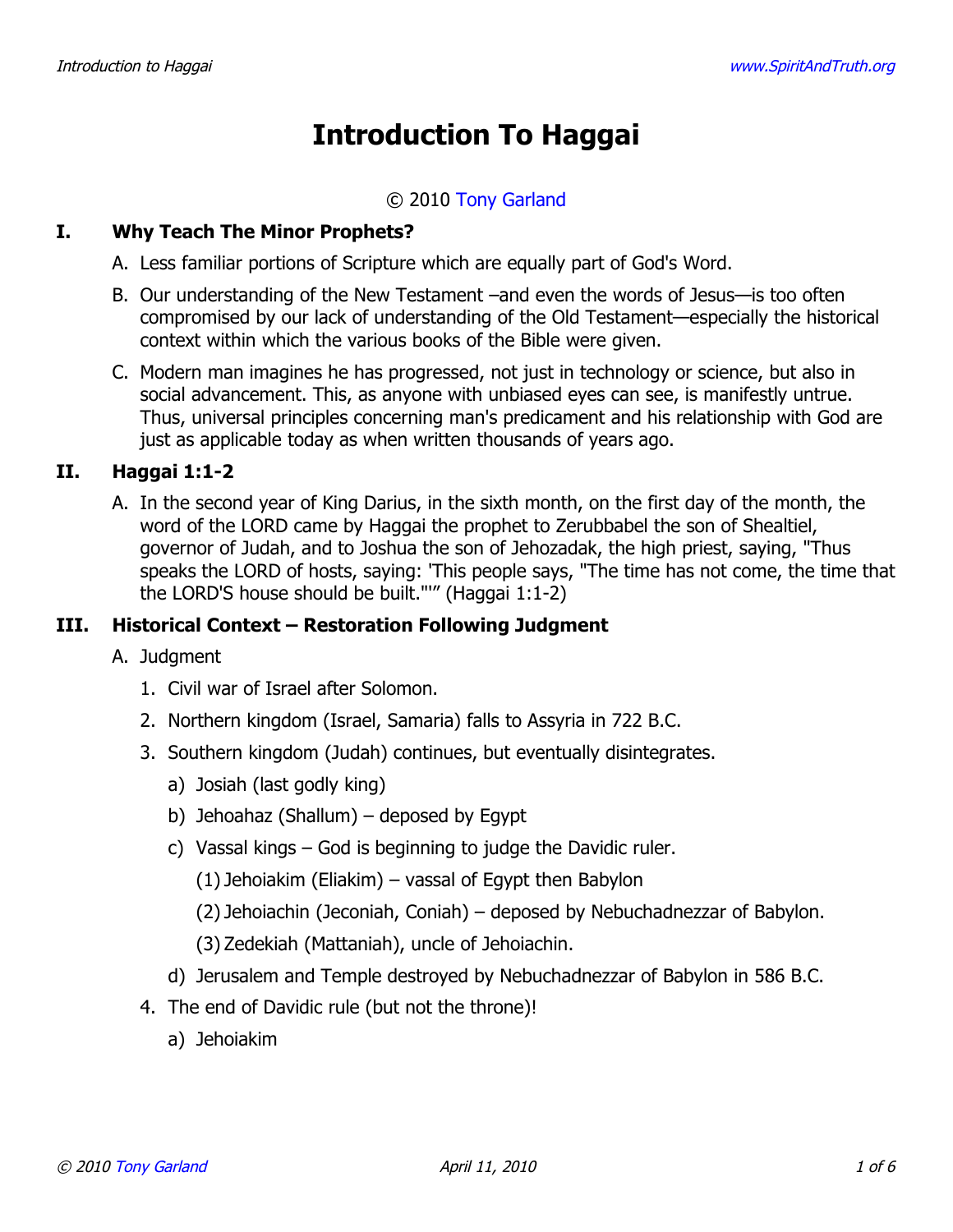# **Introduction To Haggai**

#### © 2010 [Tony Garland](http://www.spiritandtruth.org/id/tg.htm)

#### **I. Why Teach The Minor Prophets?**

- A. Less familiar portions of Scripture which are equally part of God's Word.
- B. Our understanding of the New Testament –and even the words of Jesus—is too often compromised by our lack of understanding of the Old Testament—especially the historical context within which the various books of the Bible were given.
- C. Modern man imagines he has progressed, not just in technology or science, but also in social advancement. This, as anyone with unbiased eyes can see, is manifestly untrue. Thus, universal principles concerning man's predicament and his relationship with God are just as applicable today as when written thousands of years ago.

## **II. Haggai 1:1-2**

A. In the second year of King Darius, in the sixth month, on the first day of the month, the word of the LORD came by Haggai the prophet to Zerubbabel the son of Shealtiel, governor of Judah, and to Joshua the son of Jehozadak, the high priest, saying, "Thus speaks the LORD of hosts, saying: 'This people says, "The time has not come, the time that the LORD'S house should be built."'" (Haggai 1:1-2)

## **III. Historical Context – Restoration Following Judgment**

- A. Judgment
	- 1. Civil war of Israel after Solomon.
	- 2. Northern kingdom (Israel, Samaria) falls to Assyria in 722 B.C.
	- 3. Southern kingdom (Judah) continues, but eventually disintegrates.
		- a) Josiah (last godly king)
		- b) Jehoahaz (Shallum) deposed by Egypt
		- c) Vassal kings God is beginning to judge the Davidic ruler.
			- (1) Jehoiakim (Eliakim) vassal of Egypt then Babylon
			- (2) Jehoiachin (Jeconiah, Coniah) deposed by Nebuchadnezzar of Babylon.
			- (3) Zedekiah (Mattaniah), uncle of Jehoiachin.
		- d) Jerusalem and Temple destroyed by Nebuchadnezzar of Babylon in 586 B.C.
	- 4. The end of Davidic rule (but not the throne)!
		- a) Jehoiakim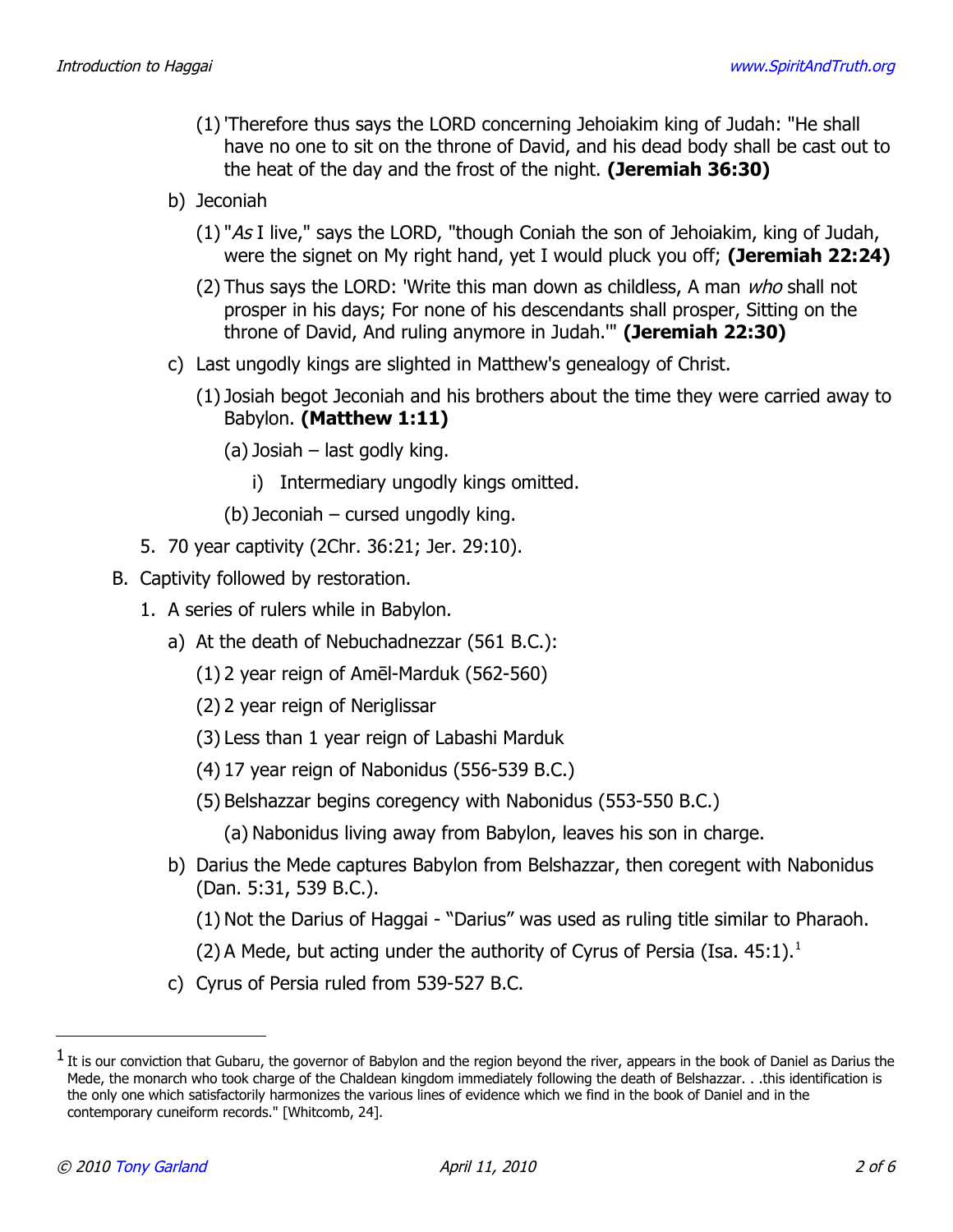- (1)'Therefore thus says the LORD concerning Jehoiakim king of Judah: "He shall have no one to sit on the throne of David, and his dead body shall be cast out to the heat of the day and the frost of the night. **(Jeremiah 36:30)**
- b) Jeconiah
	- (1) "As I live," says the LORD, "though Coniah the son of Jehoiakim, king of Judah, were the signet on My right hand, yet I would pluck you off; **(Jeremiah 22:24)**
	- (2) Thus says the LORD: 'Write this man down as childless, A man who shall not prosper in his days; For none of his descendants shall prosper, Sitting on the throne of David, And ruling anymore in Judah.'" **(Jeremiah 22:30)**
- c) Last ungodly kings are slighted in Matthew's genealogy of Christ.
	- (1) Josiah begot Jeconiah and his brothers about the time they were carried away to Babylon. **(Matthew 1:11)**
		- (a) Josiah last godly king.
			- i) Intermediary ungodly kings omitted.
		- (b) Jeconiah cursed ungodly king.
- 5. 70 year captivity (2Chr. 36:21; Jer. 29:10).
- B. Captivity followed by restoration.
	- 1. A series of rulers while in Babylon.
		- a) At the death of Nebuchadnezzar (561 B.C.):
			- (1) 2 year reign of Amēl-Marduk (562-560)
			- (2) 2 year reign of Neriglissar
			- (3) Less than 1 year reign of Labashi Marduk
			- (4) 17 year reign of Nabonidus (556-539 B.C.)
			- (5) Belshazzar begins coregency with Nabonidus (553-550 B.C.)
				- (a) Nabonidus living away from Babylon, leaves his son in charge.
		- b) Darius the Mede captures Babylon from Belshazzar, then coregent with Nabonidus (Dan. 5:31, 539 B.C.).
			- (1) Not the Darius of Haggai "Darius" was used as ruling title similar to Pharaoh.
			- (2) A Mede, but acting under the authority of Cyrus of Persia (Isa.  $45:1$  $45:1$ ).<sup>1</sup>
		- c) Cyrus of Persia ruled from 539-527 B.C.

<span id="page-1-0"></span> $^1$  It is our conviction that Gubaru, the governor of Babylon and the region beyond the river, appears in the book of Daniel as Darius the Mede, the monarch who took charge of the Chaldean kingdom immediately following the death of Belshazzar. . .this identification is the only one which satisfactorily harmonizes the various lines of evidence which we find in the book of Daniel and in the contemporary cuneiform records." [Whitcomb, 24].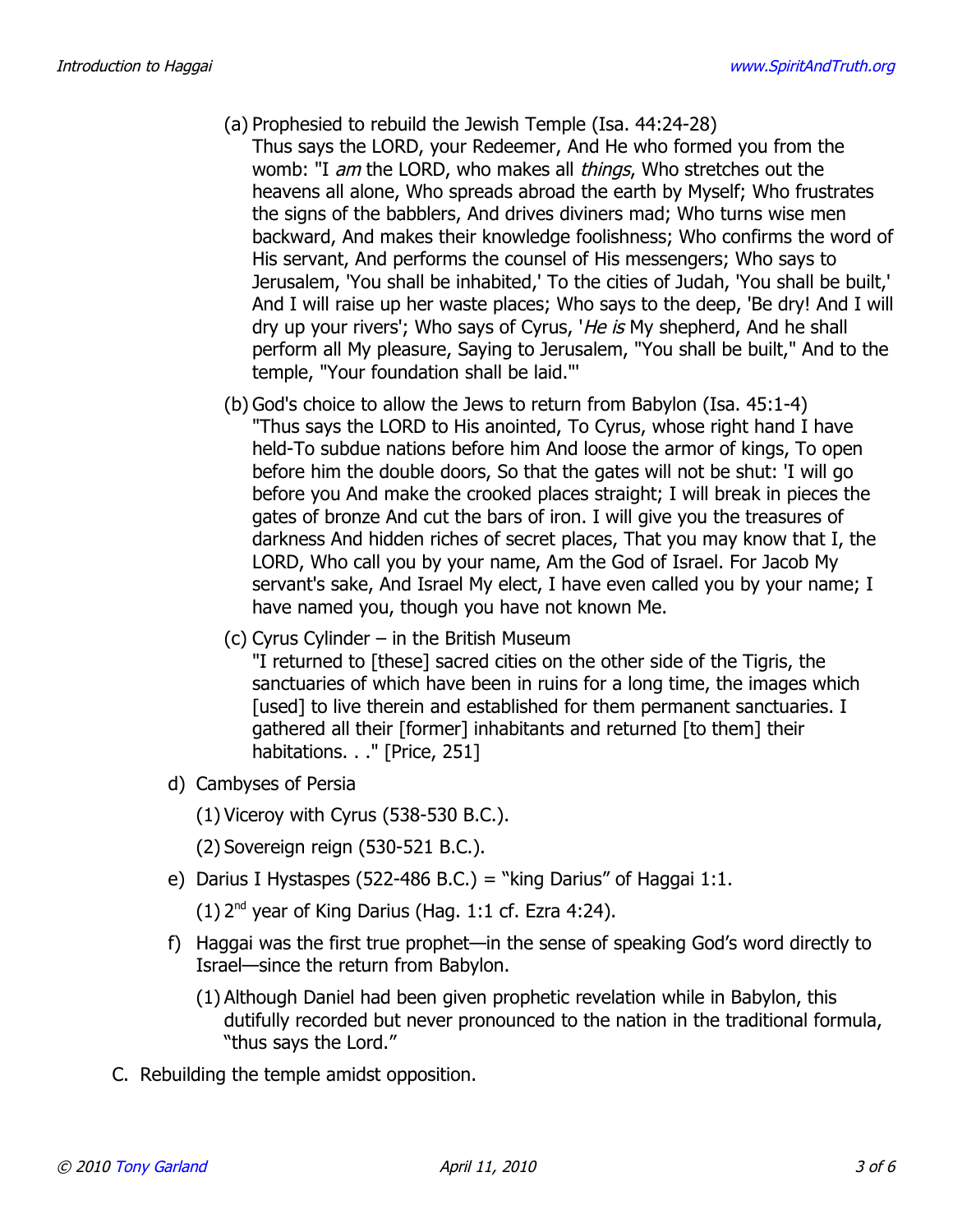- (a) Prophesied to rebuild the Jewish Temple (Isa. 44:24-28) Thus says the LORD, your Redeemer, And He who formed you from the womb: "I am the LORD, who makes all *things*, Who stretches out the heavens all alone, Who spreads abroad the earth by Myself; Who frustrates the signs of the babblers, And drives diviners mad; Who turns wise men backward, And makes their knowledge foolishness; Who confirms the word of His servant, And performs the counsel of His messengers; Who says to Jerusalem, 'You shall be inhabited,' To the cities of Judah, 'You shall be built,' And I will raise up her waste places; Who says to the deep, 'Be dry! And I will dry up your rivers'; Who says of Cyrus, 'He is My shepherd, And he shall perform all My pleasure, Saying to Jerusalem, "You shall be built," And to the temple, "Your foundation shall be laid."'
- (b) God's choice to allow the Jews to return from Babylon (Isa. 45:1-4) "Thus says the LORD to His anointed, To Cyrus, whose right hand I have held-To subdue nations before him And loose the armor of kings, To open before him the double doors, So that the gates will not be shut: 'I will go before you And make the crooked places straight; I will break in pieces the gates of bronze And cut the bars of iron. I will give you the treasures of darkness And hidden riches of secret places, That you may know that I, the LORD, Who call you by your name, Am the God of Israel. For Jacob My servant's sake, And Israel My elect, I have even called you by your name; I have named you, though you have not known Me.
- (c) Cyrus Cylinder in the British Museum

"I returned to [these] sacred cities on the other side of the Tigris, the sanctuaries of which have been in ruins for a long time, the images which [used] to live therein and established for them permanent sanctuaries. I gathered all their [former] inhabitants and returned [to them] their habitations. . ." [Price, 251]

- d) Cambyses of Persia
	- (1) Viceroy with Cyrus (538-530 B.C.).
	- (2) Sovereign reign (530-521 B.C.).
- e) Darius I Hystaspes (522-486 B.C.) = "king Darius" of Haggai 1:1.
	- $(1)$  2<sup>nd</sup> year of King Darius (Hag. 1:1 cf. Ezra 4:24).
- f) Haggai was the first true prophet—in the sense of speaking God's word directly to Israel—since the return from Babylon.
	- (1) Although Daniel had been given prophetic revelation while in Babylon, this dutifully recorded but never pronounced to the nation in the traditional formula, "thus says the Lord."
- C. Rebuilding the temple amidst opposition.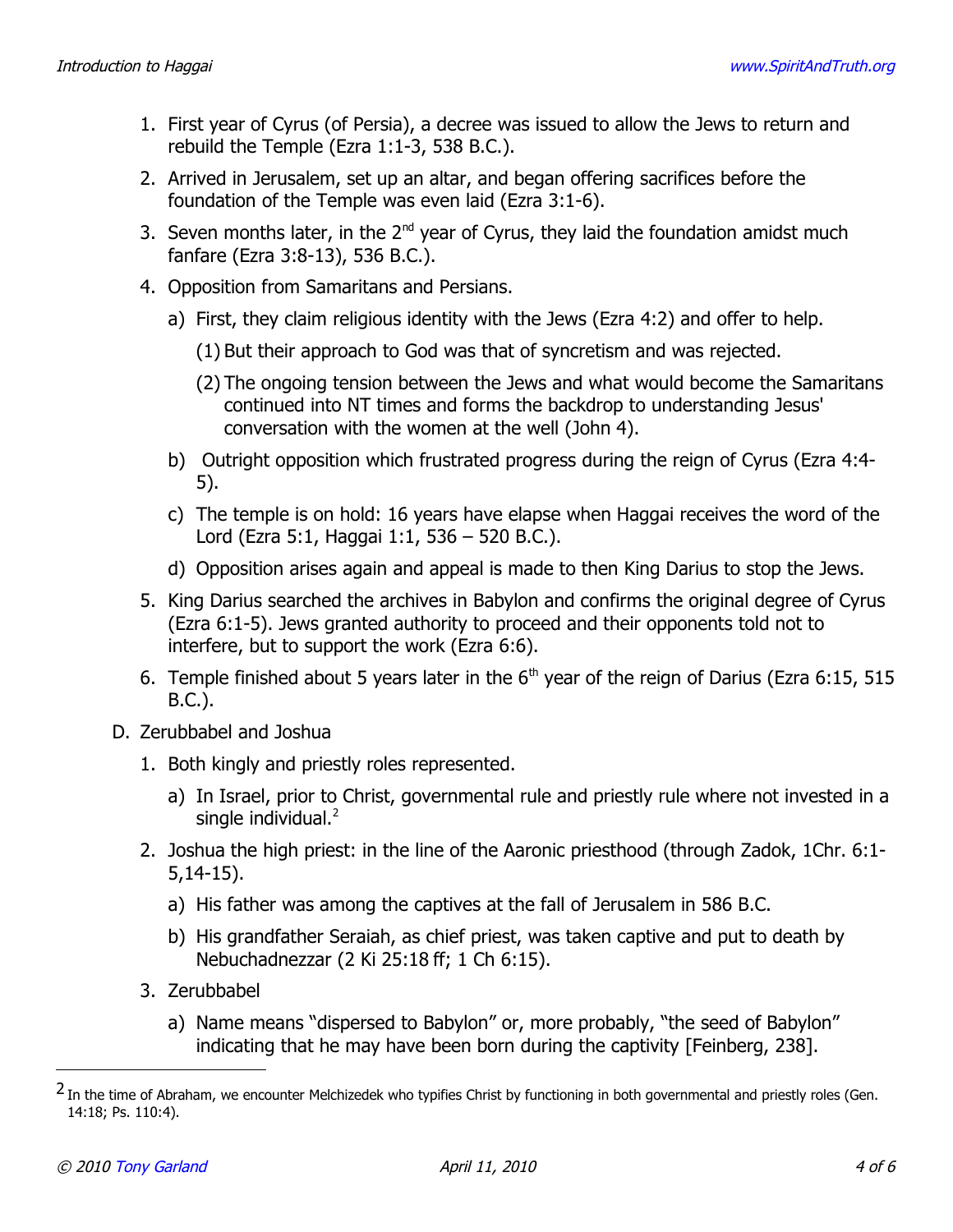- 1. First year of Cyrus (of Persia), a decree was issued to allow the Jews to return and rebuild the Temple (Ezra 1:1-3, 538 B.C.).
- 2. Arrived in Jerusalem, set up an altar, and began offering sacrifices before the foundation of the Temple was even laid (Ezra 3:1-6).
- 3. Seven months later, in the  $2^{nd}$  year of Cyrus, they laid the foundation amidst much fanfare (Ezra 3:8-13), 536 B.C.).
- 4. Opposition from Samaritans and Persians.
	- a) First, they claim religious identity with the Jews (Ezra 4:2) and offer to help.
		- (1) But their approach to God was that of syncretism and was rejected.
		- (2) The ongoing tension between the Jews and what would become the Samaritans continued into NT times and forms the backdrop to understanding Jesus' conversation with the women at the well (John 4).
	- b) Outright opposition which frustrated progress during the reign of Cyrus (Ezra 4:4- 5).
	- c) The temple is on hold: 16 years have elapse when Haggai receives the word of the Lord (Ezra 5:1, Haggai 1:1, 536 – 520 B.C.).
	- d) Opposition arises again and appeal is made to then King Darius to stop the Jews.
- 5. King Darius searched the archives in Babylon and confirms the original degree of Cyrus (Ezra 6:1-5). Jews granted authority to proceed and their opponents told not to interfere, but to support the work (Ezra 6:6).
- 6. Temple finished about 5 years later in the  $6<sup>th</sup>$  year of the reign of Darius (Ezra 6:15, 515 B.C.).
- D. Zerubbabel and Joshua
	- 1. Both kingly and priestly roles represented.
		- a) In Israel, prior to Christ, governmental rule and priestly rule where not invested in a single individual. $<sup>2</sup>$  $<sup>2</sup>$  $<sup>2</sup>$ </sup>
	- 2. Joshua the high priest: in the line of the Aaronic priesthood (through Zadok, 1Chr. 6:1- 5,14-15).
		- a) His father was among the captives at the fall of Jerusalem in 586 B.C.
		- b) His grandfather Seraiah, as chief priest, was taken captive and put to death by Nebuchadnezzar (2 Ki 25:18 ff; 1 Ch 6:15).
	- 3. Zerubbabel
		- a) Name means "dispersed to Babylon" or, more probably, "the seed of Babylon" indicating that he may have been born during the captivity [Feinberg, 238].

<span id="page-3-0"></span><sup>&</sup>lt;sup>2</sup> In the time of Abraham, we encounter Melchizedek who typifies Christ by functioning in both governmental and priestly roles (Gen. 14:18; Ps. 110:4).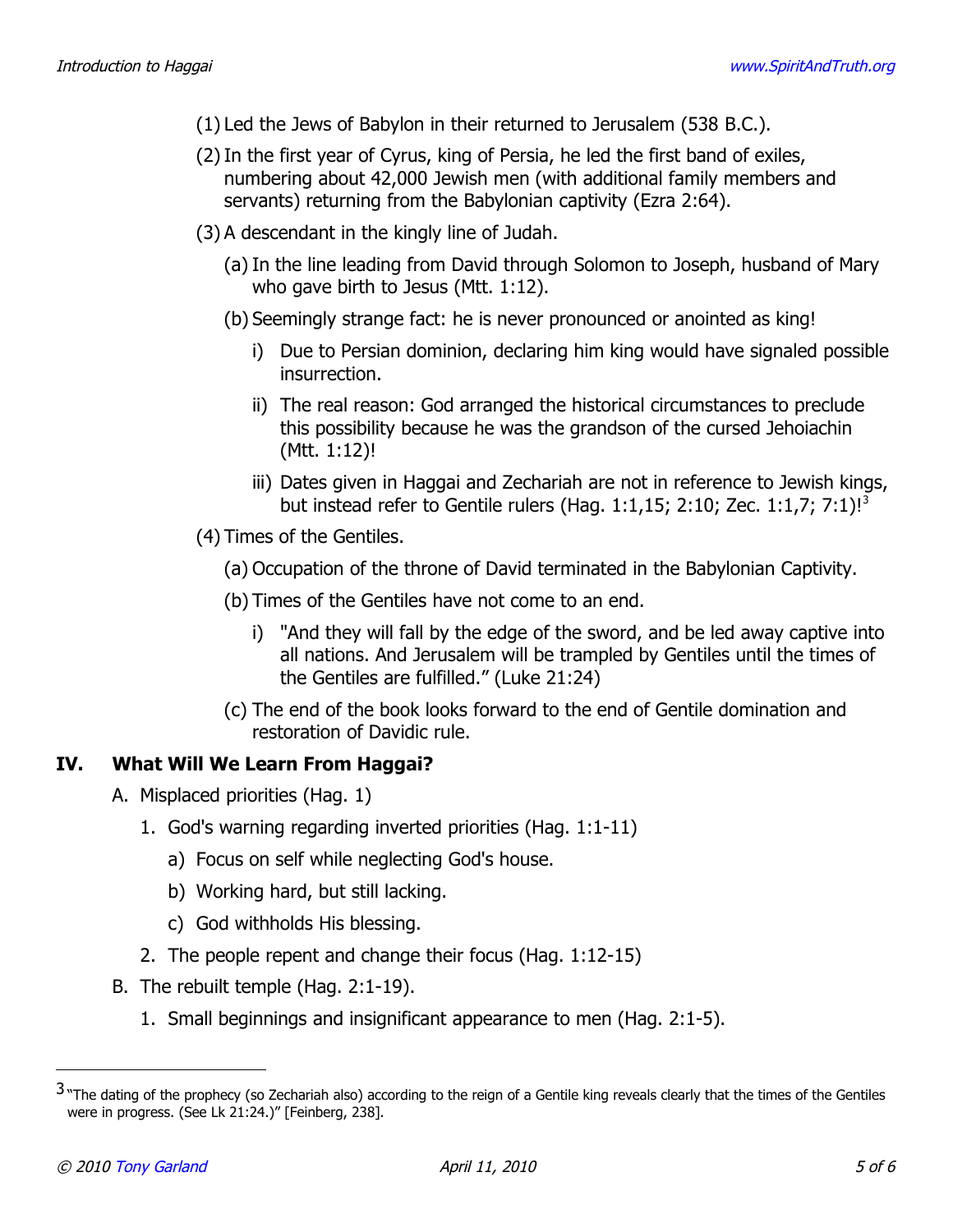- (1) Led the Jews of Babylon in their returned to Jerusalem (538 B.C.).
- (2)In the first year of Cyrus, king of Persia, he led the first band of exiles, numbering about 42,000 Jewish men (with additional family members and servants) returning from the Babylonian captivity (Ezra 2:64).
- (3) A descendant in the kingly line of Judah.
	- (a) In the line leading from David through Solomon to Joseph, husband of Mary who gave birth to Jesus (Mtt. 1:12).
	- (b) Seemingly strange fact: he is never pronounced or anointed as king!
		- i) Due to Persian dominion, declaring him king would have signaled possible insurrection.
		- ii) The real reason: God arranged the historical circumstances to preclude this possibility because he was the grandson of the cursed Jehoiachin (Mtt. 1:12)!
		- iii) Dates given in Haggai and Zechariah are not in reference to Jewish kings, but instead refer to Gentile rulers (Hag. 1:1,15; 2:10; Zec. 1:1,7; 7:1)![3](#page-4-0)
- (4) Times of the Gentiles.
	- (a) Occupation of the throne of David terminated in the Babylonian Captivity.
	- (b) Times of the Gentiles have not come to an end.
		- i) "And they will fall by the edge of the sword, and be led away captive into all nations. And Jerusalem will be trampled by Gentiles until the times of the Gentiles are fulfilled." (Luke 21:24)
	- (c) The end of the book looks forward to the end of Gentile domination and restoration of Davidic rule.

## **IV. What Will We Learn From Haggai?**

- A. Misplaced priorities (Hag. 1)
	- 1. God's warning regarding inverted priorities (Hag. 1:1-11)
		- a) Focus on self while neglecting God's house.
		- b) Working hard, but still lacking.
		- c) God withholds His blessing.
	- 2. The people repent and change their focus (Hag. 1:12-15)
- B. The rebuilt temple (Hag. 2:1-19).
	- 1. Small beginnings and insignificant appearance to men (Hag. 2:1-5).

<span id="page-4-0"></span><sup>3 &</sup>quot;The dating of the prophecy (so Zechariah also) according to the reign of a Gentile king reveals clearly that the times of the Gentiles were in progress. (See Lk 21:24.)" [Feinberg, 238].